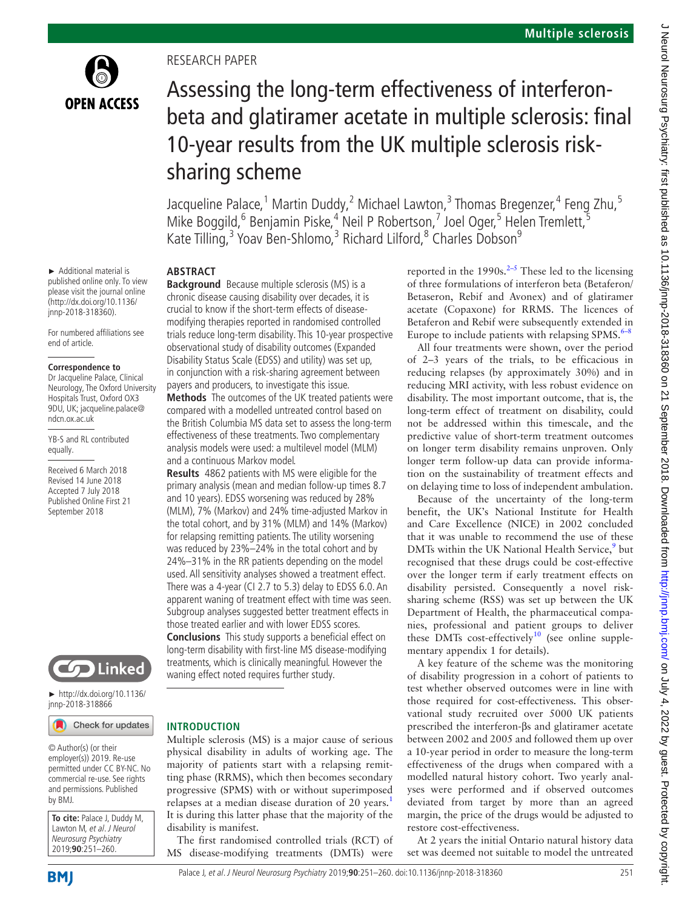

► Additional material is published online only. To view please visit the journal online [\(http://dx.doi.org/10.1136/](http://dx.doi.org/10.1136/jnnp-2018-318360) [jnnp-2018-318360\)](http://dx.doi.org/10.1136/jnnp-2018-318360).

For numbered affiliations see

**Correspondence to** Dr Jacqueline Palace, Clinical Neurology, The Oxford University Hospitals Trust, Oxford OX3 9DU, UK; jacqueline.palace@

YB-S and RL contributed

Received 6 March 2018 Revised 14 June 2018 Accepted 7 July 2018 Published Online First 21 September 2018

end of article.

ndcn.ox.ac.uk

equally.

Research paper

# Assessing the long-term effectiveness of interferonbeta and glatiramer acetate in multiple sclerosis: final 10-year results from the UK multiple sclerosis risksharing scheme

Jacqueline Palace,<sup>1</sup> Martin Duddy,<sup>2</sup> Michael Lawton,<sup>3</sup> Thomas Bregenzer,<sup>4</sup> Feng Zhu,<sup>5</sup> Mike Boggild,<sup>6</sup> Benjamin Piske,<sup>4</sup> Neil P Robertson,<sup>7</sup> Joel Oger,<sup>5</sup> Helen Tremlett,<sup>5</sup> Kate Tilling,<sup>3</sup> Yoav Ben-Shlomo,<sup>3</sup> Richard Lilford,<sup>8</sup> Charles Dobson<sup>9</sup>

# **Abstract**

**Background** Because multiple sclerosis (MS) is a chronic disease causing disability over decades, it is crucial to know if the short-term effects of diseasemodifying therapies reported in randomised controlled trials reduce long-term disability. This 10-year prospective observational study of disability outcomes (Expanded Disability Status Scale (EDSS) and utility) was set up, in conjunction with a risk-sharing agreement between payers and producers, to investigate this issue. **Methods** The outcomes of the UK treated patients were compared with a modelled untreated control based on the British Columbia MS data set to assess the long-term effectiveness of these treatments. Two complementary analysis models were used: a multilevel model (MLM) and a continuous Markov model.

**Results** 4862 patients with MS were eligible for the primary analysis (mean and median follow-up times 8.7 and 10 years). EDSS worsening was reduced by 28% (MLM), 7% (Markov) and 24% time-adjusted Markov in the total cohort, and by 31% (MLM) and 14% (Markov) for relapsing remitting patients. The utility worsening was reduced by 23%–24% in the total cohort and by 24%–31% in the RR patients depending on the model used. All sensitivity analyses showed a treatment effect. There was a 4-year (CI 2.7 to 5.3) delay to EDSS 6.0. An apparent waning of treatment effect with time was seen. Subgroup analyses suggested better treatment effects in those treated earlier and with lower EDSS scores. **Conclusions** This study supports a beneficial effect on long-term disability with first-line MS disease-modifying treatments, which is clinically meaningful. However the waning effect noted requires further study.

**CO** Linked

► [http://dx.doi.org/10.1136/](http://dx.doi.org/10.1136/jnnp-2018-318866) [jnnp-2018-318866](http://dx.doi.org/10.1136/jnnp-2018-318866)



© Author(s) (or their employer(s)) 2019. Re-use permitted under CC BY-NC. No commercial re-use. See rights and permissions. Published by BMJ.

**To cite:** Palace J, Duddy M, Lawton M, et al. J Neurol Neurosurg Psychiatry 2019;**90**:251–260.

# **Introduction**

Multiple sclerosis (MS) is a major cause of serious physical disability in adults of working age. The majority of patients start with a relapsing remitting phase (RRMS), which then becomes secondary progressive (SPMS) with or without superimposed relapses at a median disease duration of 20 years.<sup>[1](#page-9-0)</sup> It is during this latter phase that the majority of the disability is manifest.

The first randomised controlled trials (RCT) of MS disease-modifying treatments (DMTs) were

reported in the  $1990s$ <sup>[2–5](#page-9-1)</sup> These led to the licensing of three formulations of interferon beta (Betaferon/ Betaseron, Rebif and Avonex) and of glatiramer acetate (Copaxone) for RRMS. The licences of Betaferon and Rebif were subsequently extended in Europe to include patients with relapsing SPMS. $6-8$ 

All four treatments were shown, over the period of 2–3 years of the trials, to be efficacious in reducing relapses (by approximately 30%) and in reducing MRI activity, with less robust evidence on disability. The most important outcome, that is, the long-term effect of treatment on disability, could not be addressed within this timescale, and the predictive value of short-term treatment outcomes on longer term disability remains unproven. Only longer term follow-up data can provide information on the sustainability of treatment effects and on delaying time to loss of independent ambulation.

Because of the uncertainty of the long-term benefit, the UK's National Institute for Health and Care Excellence (NICE) in 2002 concluded that it was unable to recommend the use of these DMTs within the UK National Health Service,<sup>[9](#page-9-3)</sup> but recognised that these drugs could be cost-effective over the longer term if early treatment effects on disability persisted. Consequently a novel risksharing scheme (RSS) was set up between the UK Department of Health, the pharmaceutical companies, professional and patient groups to deliver these DMTs cost-effectively<sup>10</sup> (see [online supple](https://dx.doi.org/10.1136/jnnp-2018-318360)[mentary appendix 1](https://dx.doi.org/10.1136/jnnp-2018-318360) for details).

A key feature of the scheme was the monitoring of disability progression in a cohort of patients to test whether observed outcomes were in line with those required for cost-effectiveness. This observational study recruited over 5000 UK patients prescribed the interferon-βs and glatiramer acetate between 2002 and 2005 and followed them up over a 10-year period in order to measure the long-term effectiveness of the drugs when compared with a modelled natural history cohort. Two yearly analyses were performed and if observed outcomes deviated from target by more than an agreed margin, the price of the drugs would be adjusted to restore cost-effectiveness.

At 2 years the initial Ontario natural history data set was deemed not suitable to model the untreated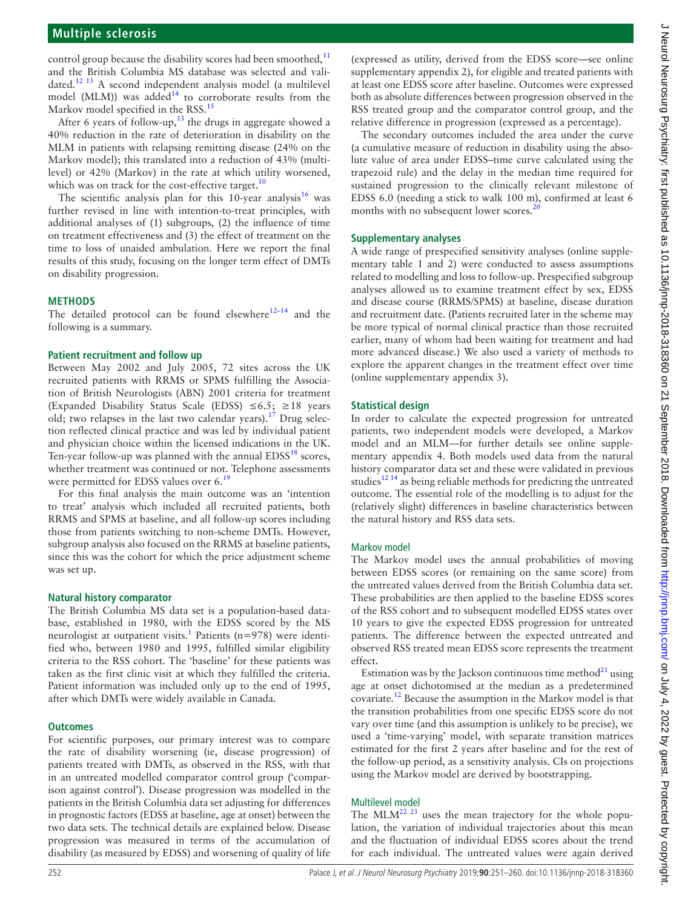# **Multiple sclerosis**

control group because the disability scores had been smoothed, $^{11}$  $^{11}$  $^{11}$ and the British Columbia MS database was selected and validated.[12 13](#page-9-6) A second independent analysis model (a multilevel model (MLM)) was added<sup>[14](#page-9-7)</sup> to corroborate results from the Markov model specified in the RSS.<sup>[15](#page-9-8)</sup>

After 6 years of follow-up, $^{13}$  the drugs in aggregate showed a 40% reduction in the rate of deterioration in disability on the MLM in patients with relapsing remitting disease (24% on the Markov model); this translated into a reduction of 43% (multilevel) or 42% (Markov) in the rate at which utility worsened, which was on track for the cost-effective target. $10$ 

The scientific analysis plan for this  $10$ -year analysis<sup>16</sup> was further revised in line with intention-to-treat principles, with additional analyses of (1) subgroups, (2) the influence of time on treatment effectiveness and (3) the effect of treatment on the time to loss of unaided ambulation. Here we report the final results of this study, focusing on the longer term effect of DMTs on disability progression.

#### **Methods**

The detailed protocol can be found elsewhere $12-14$  and the following is a summary.

#### **Patient recruitment and follow up**

Between May 2002 and July 2005, 72 sites across the UK recruited patients with RRMS or SPMS fulfilling the Association of British Neurologists (ABN) 2001 criteria for treatment (Expanded Disability Status Scale (EDSS)  $≤6.5$ ; ≥18 years old; two relapses in the last two calendar years).<sup>17</sup> Drug selection reflected clinical practice and was led by individual patient and physician choice within the licensed indications in the UK. Ten-year follow-up was planned with the annual  $EDSS^{18}$  scores, whether treatment was continued or not. Telephone assessments were permitted for EDSS values over 6.<sup>[19](#page-9-13)</sup>

For this final analysis the main outcome was an 'intention to treat' analysis which included all recruited patients, both RRMS and SPMS at baseline, and all follow-up scores including those from patients switching to non-scheme DMTs. However, subgroup analysis also focused on the RRMS at baseline patients, since this was the cohort for which the price adjustment scheme was set up.

#### **Natural history comparator**

The British Columbia MS data set is a population-based database, established in 1980, with the EDSS scored by the MS neurologist at outpatient visits.<sup>1</sup> Patients (n=978) were identified who, between 1980 and 1995, fulfilled similar eligibility criteria to the RSS cohort. The 'baseline' for these patients was taken as the first clinic visit at which they fulfilled the criteria. Patient information was included only up to the end of 1995, after which DMTs were widely available in Canada.

#### **Outcomes**

For scientific purposes, our primary interest was to compare the rate of disability worsening (ie, disease progression) of patients treated with DMTs, as observed in the RSS, with that in an untreated modelled comparator control group ('comparison against control'). Disease progression was modelled in the patients in the British Columbia data set adjusting for differences in prognostic factors (EDSS at baseline, age at onset) between the two data sets. The technical details are explained below. Disease progression was measured in terms of the accumulation of disability (as measured by EDSS) and worsening of quality of life

(expressed as utility, derived from the EDSS score—see [online](https://dx.doi.org/10.1136/jnnp-2018-318360) [supplementary appendix 2](https://dx.doi.org/10.1136/jnnp-2018-318360)), for eligible and treated patients with at least one EDSS score after baseline. Outcomes were expressed both as absolute differences between progression observed in the RSS treated group and the comparator control group, and the relative difference in progression (expressed as a percentage).

The secondary outcomes included the area under the curve (a cumulative measure of reduction in disability using the absolute value of area under EDSS–time curve calculated using the trapezoid rule) and the delay in the median time required for sustained progression to the clinically relevant milestone of EDSS 6.0 (needing a stick to walk 100 m), confirmed at least 6 months with no subsequent lower scores.<sup>20</sup>

#### **Supplementary analyses**

A wide range of prespecified sensitivity analyses [\(online supple](https://dx.doi.org/10.1136/jnnp-2018-318360)[mentary table 1 and 2](https://dx.doi.org/10.1136/jnnp-2018-318360)) were conducted to assess assumptions related to modelling and loss to follow-up. Prespecified subgroup analyses allowed us to examine treatment effect by sex, EDSS and disease course (RRMS/SPMS) at baseline, disease duration and recruitment date. (Patients recruited later in the scheme may be more typical of normal clinical practice than those recruited earlier, many of whom had been waiting for treatment and had more advanced disease.) We also used a variety of methods to explore the apparent changes in the treatment effect over time ([online supplementary appendix 3\)](https://dx.doi.org/10.1136/jnnp-2018-318360).

#### **Statistical design**

In order to calculate the expected progression for untreated patients, two independent models were developed, a Markov model and an MLM—for further details see [online supple](https://dx.doi.org/10.1136/jnnp-2018-318360)[mentary appendix 4.](https://dx.doi.org/10.1136/jnnp-2018-318360) Both models used data from the natural history comparator data set and these were validated in previous studies<sup>12 14</sup> as being reliable methods for predicting the untreated outcome. The essential role of the modelling is to adjust for the (relatively slight) differences in baseline characteristics between the natural history and RSS data sets.

#### Markov model

The Markov model uses the annual probabilities of moving between EDSS scores (or remaining on the same score) from the untreated values derived from the British Columbia data set. These probabilities are then applied to the baseline EDSS scores of the RSS cohort and to subsequent modelled EDSS states over 10 years to give the expected EDSS progression for untreated patients. The difference between the expected untreated and observed RSS treated mean EDSS score represents the treatment effect.

Estimation was by the Jackson continuous time method $^{21}$  $^{21}$  $^{21}$  using age at onset dichotomised at the median as a predetermined covariate.[12](#page-9-6) Because the assumption in the Markov model is that the transition probabilities from one specific EDSS score do not vary over time (and this assumption is unlikely to be precise), we used a 'time-varying' model, with separate transition matrices estimated for the first 2 years after baseline and for the rest of the follow-up period, as a sensitivity analysis. CIs on projections using the Markov model are derived by bootstrapping.

#### Multilevel model

The MLM<sup>22 23</sup> uses the mean trajectory for the whole population, the variation of individual trajectories about this mean and the fluctuation of individual EDSS scores about the trend for each individual. The untreated values were again derived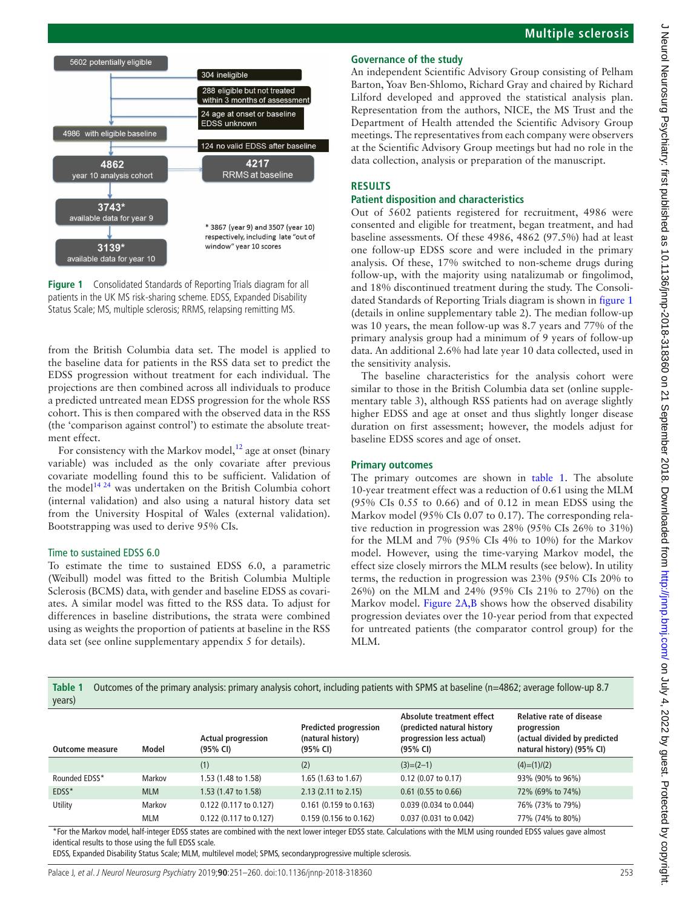

<span id="page-2-0"></span>

from the British Columbia data set. The model is applied to the baseline data for patients in the RSS data set to predict the EDSS progression without treatment for each individual. The projections are then combined across all individuals to produce a predicted untreated mean EDSS progression for the whole RSS cohort. This is then compared with the observed data in the RSS (the 'comparison against control') to estimate the absolute treatment effect.

For consistency with the Markov model, $^{12}$  age at onset (binary variable) was included as the only covariate after previous covariate modelling found this to be sufficient. Validation of the model<sup>14 24</sup> was undertaken on the British Columbia cohort (internal validation) and also using a natural history data set from the University Hospital of Wales (external validation). Bootstrapping was used to derive 95% CIs.

#### Time to sustained EDSS 6.0

To estimate the time to sustained EDSS 6.0, a parametric (Weibull) model was fitted to the British Columbia Multiple Sclerosis (BCMS) data, with gender and baseline EDSS as covariates. A similar model was fitted to the RSS data. To adjust for differences in baseline distributions, the strata were combined using as weights the proportion of patients at baseline in the RSS data set (see [online supplementary appendix 5](https://dx.doi.org/10.1136/jnnp-2018-318360) for details).

# **Governance of the study**

An independent Scientific Advisory Group consisting of Pelham Barton, Yoav Ben-Shlomo, Richard Gray and chaired by Richard Lilford developed and approved the statistical analysis plan. Representation from the authors, NICE, the MS Trust and the Department of Health attended the Scientific Advisory Group meetings. The representatives from each company were observers at the Scientific Advisory Group meetings but had no role in the data collection, analysis or preparation of the manuscript.

#### **Results**

#### **Patient disposition and characteristics**

Out of 5602 patients registered for recruitment, 4986 were consented and eligible for treatment, began treatment, and had baseline assessments. Of these 4986, 4862 (97.5%) had at least one follow-up EDSS score and were included in the primary analysis. Of these, 17% switched to non-scheme drugs during follow-up, with the majority using natalizumab or fingolimod, and 18% discontinued treatment during the study. The Consolidated Standards of Reporting Trials diagram is shown in [figure](#page-2-0) 1 (details in [online supplementary table 2\)](https://dx.doi.org/10.1136/jnnp-2018-318360). The median follow-up was 10 years, the mean follow-up was 8.7 years and 77% of the primary analysis group had a minimum of 9 years of follow-up data. An additional 2.6% had late year 10 data collected, used in the sensitivity analysis.

The baseline characteristics for the analysis cohort were similar to those in the British Columbia data set [\(online supple](https://dx.doi.org/10.1136/jnnp-2018-318360)[mentary table 3\)](https://dx.doi.org/10.1136/jnnp-2018-318360), although RSS patients had on average slightly higher EDSS and age at onset and thus slightly longer disease duration on first assessment; however, the models adjust for baseline EDSS scores and age of onset.

#### **Primary outcomes**

The primary outcomes are shown in [table](#page-2-1) 1. The absolute 10-year treatment effect was a reduction of 0.61 using the MLM (95% CIs 0.55 to 0.66) and of 0.12 in mean EDSS using the Markov model (95% CIs 0.07 to 0.17). The corresponding relative reduction in progression was 28% (95% CIs 26% to 31%) for the MLM and 7% (95% CIs 4% to 10%) for the Markov model. However, using the time-varying Markov model, the effect size closely mirrors the MLM results (see below). In utility terms, the reduction in progression was 23% (95% CIs 20% to 26%) on the MLM and 24% (95% CIs 21% to 27%) on the Markov model. [Figure](#page-3-0) 2A,B shows how the observed disability progression deviates over the 10-year period from that expected for untreated patients (the comparator control group) for the MLM.

<span id="page-2-1"></span>**Table 1** Outcomes of the primary analysis: primary analysis cohort, including patients with SPMS at baseline (n=4862; average follow-up 8.7 years)

| <b>Outcome measure</b> | Model      | <b>Actual progression</b><br>(95% CI) | <b>Predicted progression</b><br>(natural history)<br>(95% CI) | Absolute treatment effect<br>(predicted natural history<br>progression less actual)<br>(95% CI) | <b>Relative rate of disease</b><br>progression<br>(actual divided by predicted<br>natural history) (95% CI) |
|------------------------|------------|---------------------------------------|---------------------------------------------------------------|-------------------------------------------------------------------------------------------------|-------------------------------------------------------------------------------------------------------------|
|                        |            | (1)                                   | (2)                                                           | $(3)=(2-1)$                                                                                     | $(4)=(1)/(2)$                                                                                               |
| Rounded EDSS*          | Markov     | 1.53 (1.48 to 1.58)                   | 1.65 (1.63 to 1.67)                                           | $0.12$ (0.07 to 0.17)                                                                           | 93% (90% to 96%)                                                                                            |
| EDSS*                  | <b>MLM</b> | 1.53 (1.47 to 1.58)                   | $2.13$ (2.11 to 2.15)                                         | $0.61$ (0.55 to 0.66)                                                                           | 72% (69% to 74%)                                                                                            |
| Utility                | Markov     | 0.122 (0.117 to 0.127)                | $0.161$ (0.159 to 0.163)                                      | 0.039 (0.034 to 0.044)                                                                          | 76% (73% to 79%)                                                                                            |
|                        | MLM        | 0.122 (0.117 to 0.127)                | 0.159 (0.156 to 0.162)                                        | 0.037 (0.031 to 0.042)                                                                          | 77% (74% to 80%)                                                                                            |

\*For the Markov model, half-integer EDSS states are combined with the next lower integer EDSS state. Calculations with the MLM using rounded EDSS values gave almost identical results to those using the full EDSS scale.

EDSS, Expanded Disability Status Scale; MLM, multilevel model; SPMS, secondaryprogressive multiple sclerosis.

Palace J, et al. J Neurol Neurosurg Psychiatry 2019;**90**:251–260. doi:10.1136/jnnp-2018-318360 253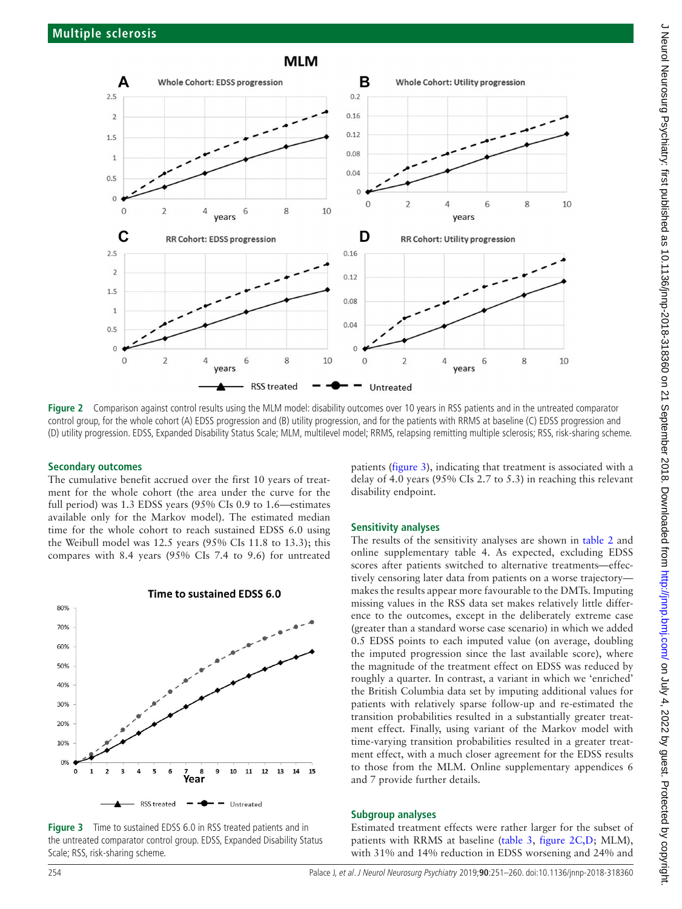

<span id="page-3-0"></span>Figure 2 Comparison against control results using the MLM model: disability outcomes over 10 years in RSS patients and in the untreated comparator control group, for the whole cohort (A) EDSS progression and (B) utility progression, and for the patients with RRMS at baseline (C) EDSS progression and (D) utility progression. EDSS, Expanded Disability Status Scale; MLM, multilevel model; RRMS, relapsing remitting multiple sclerosis; RSS, risk-sharing scheme.

#### **Secondary outcomes**

The cumulative benefit accrued over the first 10 years of treatment for the whole cohort (the area under the curve for the full period) was 1.3 EDSS years (95% CIs 0.9 to 1.6—estimates available only for the Markov model). The estimated median time for the whole cohort to reach sustained EDSS 6.0 using the Weibull model was 12.5 years (95% CIs 11.8 to 13.3); this compares with 8.4 years (95% CIs 7.4 to 9.6) for untreated



Time to sustained EDSS 6.0

<span id="page-3-1"></span>**Figure 3** Time to sustained EDSS 6.0 in RSS treated patients and in the untreated comparator control group. EDSS, Expanded Disability Status Scale; RSS, risk-sharing scheme.

patients [\(figure](#page-3-1) 3), indicating that treatment is associated with a delay of 4.0 years (95% CIs 2.7 to 5.3) in reaching this relevant disability endpoint.

#### **Sensitivity analyses**

The results of the sensitivity analyses are shown in [table](#page-4-0) 2 and [online supplementary table 4.](https://dx.doi.org/10.1136/jnnp-2018-318360) As expected, excluding EDSS scores after patients switched to alternative treatments—effectively censoring later data from patients on a worse trajectory makes the results appear more favourable to the DMTs. Imputing missing values in the RSS data set makes relatively little difference to the outcomes, except in the deliberately extreme case (greater than a standard worse case scenario) in which we added 0.5 EDSS points to each imputed value (on average, doubling the imputed progression since the last available score), where the magnitude of the treatment effect on EDSS was reduced by roughly a quarter. In contrast, a variant in which we 'enriched' the British Columbia data set by imputing additional values for patients with relatively sparse follow-up and re-estimated the transition probabilities resulted in a substantially greater treatment effect. Finally, using variant of the Markov model with time-varying transition probabilities resulted in a greater treatment effect, with a much closer agreement for the EDSS results to those from the MLM. [Online supplementary appendices 6](https://dx.doi.org/10.1136/jnnp-2018-318360) [and 7](https://dx.doi.org/10.1136/jnnp-2018-318360) provide further details.

#### **Subgroup analyses**

Estimated treatment effects were rather larger for the subset of patients with RRMS at baseline [\(table](#page-4-1) 3, [figure](#page-3-0) 2C,D; MLM), with 31% and 14% reduction in EDSS worsening and 24% and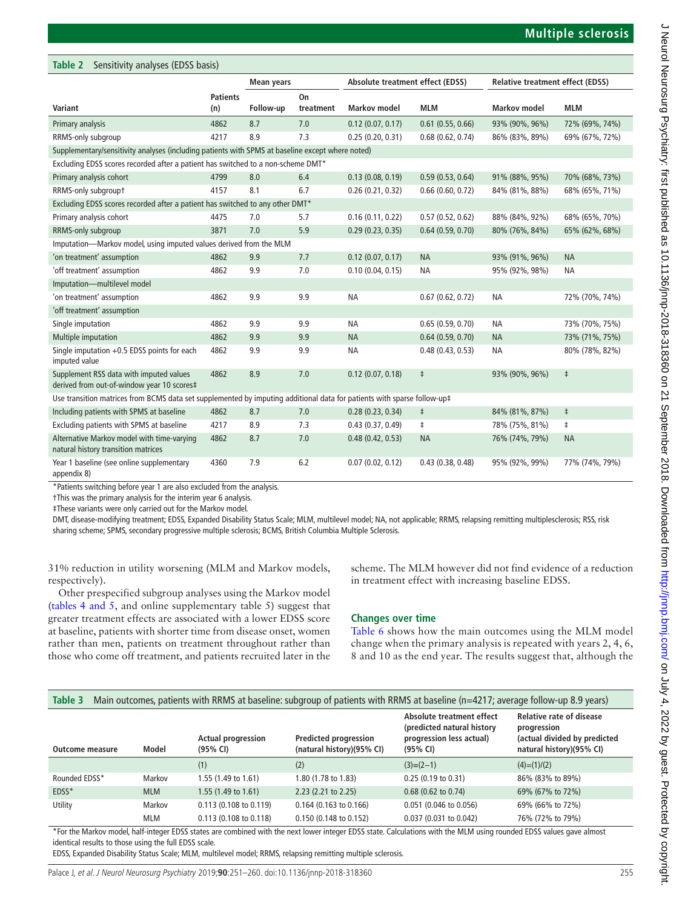<span id="page-4-0"></span>

| Table 2<br>Sensitivity analyses (EDSS basis)                                                                            |                        |            |                 |                                  |                     |                                         |                |  |  |  |
|-------------------------------------------------------------------------------------------------------------------------|------------------------|------------|-----------------|----------------------------------|---------------------|-----------------------------------------|----------------|--|--|--|
|                                                                                                                         |                        | Mean years |                 | Absolute treatment effect (EDSS) |                     | <b>Relative treatment effect (EDSS)</b> |                |  |  |  |
| Variant                                                                                                                 | <b>Patients</b><br>(n) | Follow-up  | On<br>treatment | <b>Markov model</b>              | <b>MLM</b>          | <b>Markov model</b>                     | <b>MLM</b>     |  |  |  |
| Primary analysis                                                                                                        | 4862                   | 8.7        | 7.0             | 0.12(0.07, 0.17)                 | $0.61$ (0.55, 0.66) | 93% (90%, 96%)                          | 72% (69%, 74%) |  |  |  |
| RRMS-only subgroup                                                                                                      | 4217                   | 8.9        | 7.3             | 0.25(0.20, 0.31)                 | 0.68(0.62, 0.74)    | 86% (83%, 89%)                          | 69% (67%, 72%) |  |  |  |
| Supplementary/sensitivity analyses (including patients with SPMS at baseline except where noted)                        |                        |            |                 |                                  |                     |                                         |                |  |  |  |
| Excluding EDSS scores recorded after a patient has switched to a non-scheme DMT*                                        |                        |            |                 |                                  |                     |                                         |                |  |  |  |
| Primary analysis cohort                                                                                                 | 4799                   | 8.0        | 6.4             | 0.13(0.08, 0.19)                 | 0.59(0.53, 0.64)    | 91% (88%, 95%)                          | 70% (68%, 73%) |  |  |  |
| RRMS-only subgroupt                                                                                                     | 4157                   | 8.1        | 6.7             | 0.26(0.21, 0.32)                 | 0.66(0.60, 0.72)    | 84% (81%, 88%)                          | 68% (65%, 71%) |  |  |  |
| Excluding EDSS scores recorded after a patient has switched to any other DMT*                                           |                        |            |                 |                                  |                     |                                         |                |  |  |  |
| Primary analysis cohort                                                                                                 | 4475                   | 7.0        | 5.7             | 0.16(0.11, 0.22)                 | 0.57(0.52, 0.62)    | 88% (84%, 92%)                          | 68% (65%, 70%) |  |  |  |
| RRMS-only subgroup                                                                                                      | 3871                   | 7.0        | 5.9             | 0.29(0.23, 0.35)                 | 0.64(0.59, 0.70)    | 80% (76%, 84%)                          | 65% (62%, 68%) |  |  |  |
| Imputation-Markov model, using imputed values derived from the MLM                                                      |                        |            |                 |                                  |                     |                                         |                |  |  |  |
| 'on treatment' assumption                                                                                               | 4862                   | 9.9        | 7.7             | 0.12(0.07, 0.17)                 | <b>NA</b>           | 93% (91%, 96%)                          | <b>NA</b>      |  |  |  |
| 'off treatment' assumption                                                                                              | 4862                   | 9.9        | 7.0             | 0.10(0.04, 0.15)                 | <b>NA</b>           | 95% (92%, 98%)                          | <b>NA</b>      |  |  |  |
| Imputation-multilevel model                                                                                             |                        |            |                 |                                  |                     |                                         |                |  |  |  |
| 'on treatment' assumption                                                                                               | 4862                   | 9.9        | 9.9             | <b>NA</b>                        | 0.67(0.62, 0.72)    | <b>NA</b>                               | 72% (70%, 74%) |  |  |  |
| 'off treatment' assumption                                                                                              |                        |            |                 |                                  |                     |                                         |                |  |  |  |
| Single imputation                                                                                                       | 4862                   | 9.9        | 9.9             | <b>NA</b>                        | 0.65(0.59, 0.70)    | <b>NA</b>                               | 73% (70%, 75%) |  |  |  |
| Multiple imputation                                                                                                     | 4862                   | 9.9        | 9.9             | <b>NA</b>                        | 0.64(0.59, 0.70)    | <b>NA</b>                               | 73% (71%, 75%) |  |  |  |
| Single imputation $+0.5$ EDSS points for each<br>imputed value                                                          | 4862                   | 9.9        | 9.9             | <b>NA</b>                        | 0.48(0.43, 0.53)    | <b>NA</b>                               | 80% (78%, 82%) |  |  |  |
| Supplement RSS data with imputed values<br>derived from out-of-window year 10 scores‡                                   | 4862                   | 8.9        | 7.0             | 0.12(0.07, 0.18)                 | $\ddagger$          | 93% (90%, 96%)                          | $\ddagger$     |  |  |  |
| Use transition matrices from BCMS data set supplemented by imputing additional data for patients with sparse follow-up‡ |                        |            |                 |                                  |                     |                                         |                |  |  |  |
| Including patients with SPMS at baseline                                                                                | 4862                   | 8.7        | 7.0             | 0.28(0.23, 0.34)                 | $\ddagger$          | 84% (81%, 87%)                          | $\ddagger$     |  |  |  |
| Excluding patients with SPMS at baseline                                                                                | 4217                   | 8.9        | 7.3             | 0.43(0.37, 0.49)                 | $\ddagger$          | 78% (75%, 81%)                          | $\ddagger$     |  |  |  |
| Alternative Markov model with time-varying<br>natural history transition matrices                                       | 4862                   | 8.7        | 7.0             | 0.48(0.42, 0.53)                 | <b>NA</b>           | 76% (74%, 79%)                          | <b>NA</b>      |  |  |  |
| Year 1 baseline (see online supplementary<br>appendix 8)                                                                | 4360                   | 7.9        | 6.2             | 0.07(0.02, 0.12)                 | 0.43(0.38, 0.48)    | 95% (92%, 99%)                          | 77% (74%, 79%) |  |  |  |

\*Patients switching before year 1 are also excluded from the analysis.

†This was the primary analysis for the interim year 6 analysis.

‡These variants were only carried out for the Markov model.

DMT, disease-modifying treatment; EDSS, Expanded Disability Status Scale; MLM, multilevel model; NA, not applicable; RRMS, relapsing remitting multiplesclerosis; RSS, risk sharing scheme; SPMS, secondary progressive multiple sclerosis; BCMS, British Columbia Multiple Sclerosis.

31% reduction in utility worsening (MLM and Markov models, respectively).

Other prespecified subgroup analyses using the Markov model (tables [4 and 5](#page-5-0), and [online supplementary table 5\)](https://dx.doi.org/10.1136/jnnp-2018-318360) suggest that greater treatment effects are associated with a lower EDSS score at baseline, patients with shorter time from disease onset, women rather than men, patients on treatment throughout rather than those who come off treatment, and patients recruited later in the scheme. The MLM however did not find evidence of a reduction in treatment effect with increasing baseline EDSS.

#### **Changes over time**

[Table](#page-6-0) 6 shows how the main outcomes using the MLM model change when the primary analysis is repeated with years 2, 4, 6, 8 and 10 as the end year. The results suggest that, although the

<span id="page-4-1"></span>

| Table 3         |                                                                                                                                                                           |                                       |                                                           | Main outcomes, patients with RRMS at baseline: subgroup of patients with RRMS at baseline (n=4217; average follow-up 8.9 years) |                                                                                                            |  |  |  |  |
|-----------------|---------------------------------------------------------------------------------------------------------------------------------------------------------------------------|---------------------------------------|-----------------------------------------------------------|---------------------------------------------------------------------------------------------------------------------------------|------------------------------------------------------------------------------------------------------------|--|--|--|--|
| Outcome measure | Model                                                                                                                                                                     | <b>Actual progression</b><br>(95% CI) | <b>Predicted progression</b><br>(natural history)(95% CI) | Absolute treatment effect<br>(predicted natural history<br>progression less actual)<br>(95% CI)                                 | <b>Relative rate of disease</b><br>progression<br>(actual divided by predicted<br>natural history)(95% CI) |  |  |  |  |
|                 |                                                                                                                                                                           | (1)                                   | (2)                                                       | $(3)=(2-1)$                                                                                                                     | $(4)=(1)/(2)$                                                                                              |  |  |  |  |
| Rounded EDSS*   | Markov                                                                                                                                                                    | 1.55 (1.49 to 1.61)                   | 1.80 (1.78 to 1.83)                                       | $0.25(0.19 \text{ to } 0.31)$                                                                                                   | 86% (83% to 89%)                                                                                           |  |  |  |  |
| EDSS*           | <b>MLM</b>                                                                                                                                                                | 1.55 (1.49 to 1.61)                   | $2.23$ (2.21 to 2.25)                                     | $0.68$ (0.62 to 0.74)                                                                                                           | 69% (67% to 72%)                                                                                           |  |  |  |  |
| Utility         | Markov                                                                                                                                                                    | 0.113 (0.108 to 0.119)                | $0.164$ (0.163 to 0.166)                                  | 0.051 (0.046 to 0.056)                                                                                                          | 69% (66% to 72%)                                                                                           |  |  |  |  |
|                 | <b>MLM</b>                                                                                                                                                                | 0.113 (0.108 to 0.118)                | 0.150 (0.148 to 0.152)                                    | 0.037 (0.031 to 0.042)                                                                                                          | 76% (72% to 79%)                                                                                           |  |  |  |  |
|                 | *Facebookhander bald bald integra FBCC etates are acoubined midd the mand lance integra FBCC etate. Calculations midd the ANAA minor acousted FBCC malure acousted Harack |                                       |                                                           |                                                                                                                                 |                                                                                                            |  |  |  |  |

For the Markov model, half-integer EDSS states are combined with the next lower integer EDSS state. Calculations with the MLM using rounded EDSS values gave almost identical results to those using the full EDSS scale.

EDSS, Expanded Disability Status Scale; MLM, multilevel model; RRMS, relapsing remitting multiple sclerosis.

Palace J, et al. J Neurol Neurosurg Psychiatry 2019;**90**:251–260. doi:10.1136/jnnp-2018-318360 255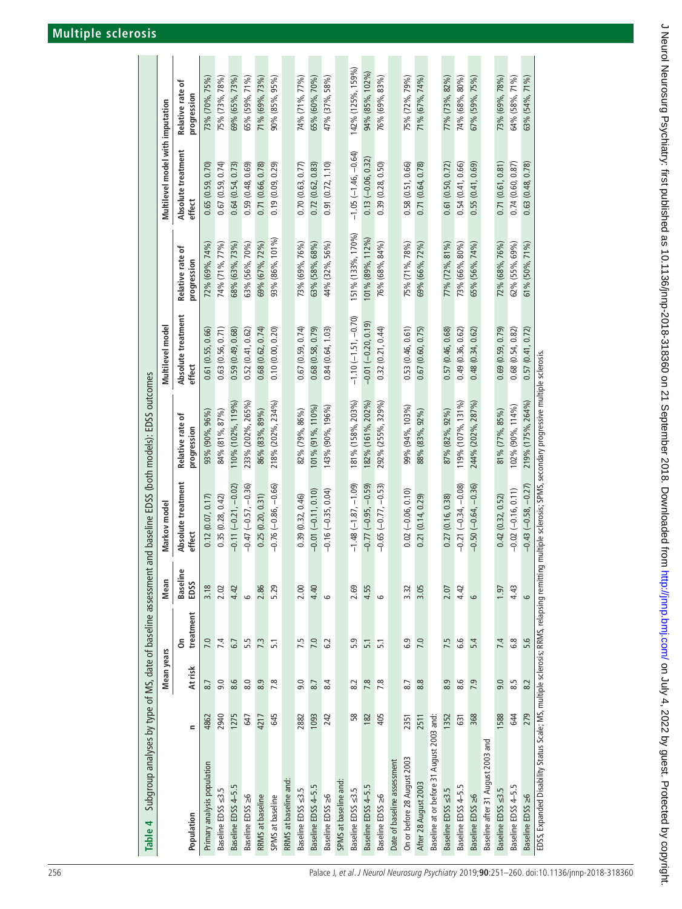<span id="page-5-0"></span>

| Table 4                                                                                 |               |                   |                  |                 |                                                                        | Subgroup analyses by type of MS, date of baseline assessment and baseline EDSS (both models): EDSS outcomes |                              |                                 |                                  |                                   |
|-----------------------------------------------------------------------------------------|---------------|-------------------|------------------|-----------------|------------------------------------------------------------------------|-------------------------------------------------------------------------------------------------------------|------------------------------|---------------------------------|----------------------------------|-----------------------------------|
|                                                                                         |               | <b>Mean years</b> |                  | Mean            | Markov model                                                           |                                                                                                             | Multilevel model             |                                 | Multilevel model with imputation |                                   |
| Population                                                                              | $\mathbf{r}$  | At risk           | treatment<br>å   | Baselin<br>EDSS | Absolute treatment<br>effect                                           | Relative rate of<br>progression                                                                             | Absolute treatment<br>effect | Relative rate of<br>progression | Absolute treatment<br>effect     | ቴ<br>Relative rate<br>progression |
| Primary analysis population                                                             | 4862          | 8.7               | 7.0              | 3.18            | 0.12(0.07, 0.17)                                                       | 93% (90%, 96%)                                                                                              | 0.61(0.55, 0.66)             | 72% (69%, 74%)                  | 0.65(0.59, 0.70)                 | 73% (70%, 75%)                    |
| Baseline EDSS <3.5                                                                      | 2940          | 9.0               | 7.4              | 2.02            | 0.35(0.28, 0.42)                                                       | 84% (81%, 87%)                                                                                              | 0.63(0.56, 0.71)             | 74% (71%, 77%)                  | 0.67(0.59, 0.74)                 | 75% (73%, 78%)                    |
| Baseline EDSS 4-5.5                                                                     | 1275          | 8.6               | 6.7              | 4.42            | $-0.11(-0.21, -0.02)$                                                  | $110\%$ $(102\%$ , $119\%$                                                                                  | 0.59(0.49, 0.68)             | 68% (63%, 73%)                  | 0.64(0.54, 0.73)                 | 69% (65%, 73%)                    |
| Baseline EDSS ≥6                                                                        | 647           | 8.0               | 5.5              | م               | $-0.47$ $(-0.57, -0.36)$                                               | 233% (202%, 265%)                                                                                           | 0.52(0.41, 0.62)             | 63% (56%, 70%)                  | 0.59(0.48, 0.69)                 | 65% (59%, 71%)                    |
| RRMS at baseline                                                                        | 4217          | 8.9               | 7.3              | 2.86            | 0.25(0.20, 0.31)                                                       | 86% (83%, 89%)                                                                                              | 0.68(0.62, 0.74)             | 69% (67%, 72%)                  | 0.71 (0.66, 0.78)                | 71% (69%, 73%)                    |
| SPMS at baseline                                                                        | 645           | 7.8               | $\overline{5.1}$ | 5.29            | $-0.76(-0.86, -0.66)$                                                  | 218% (202%, 234%)                                                                                           | 0.10(0.00, 0.20)             | 93% (86%, 101%)                 | 0.19(0.09, 0.29)                 | 90% (85%, 95%)                    |
| RRMS at baseline and                                                                    |               |                   |                  |                 |                                                                        |                                                                                                             |                              |                                 |                                  |                                   |
| Baseline EDSS <3.5                                                                      | 2882          | 9.0               | 7.5              | 2.00            | 0.39(0.32, 0.46)                                                       | 82% (79%, 86%)                                                                                              | 0.67(0.59, 0.74)             | 73% (69%, 76%)                  | 0.70(0.63, 0.77)                 | 74% (71%, 77%)                    |
| Baseline EDSS 4-5.5                                                                     | 1093          | 8.7               | 7.0              | 4.40            | $-0.01(-0.11, 0.10)$                                                   | $101\%$ (91%, 110%)                                                                                         | 0.68(0.58, 0.79)             | 63% (58%, 68%)                  | 0.72(0.62, 0.83)                 | 65% (60%, 70%)                    |
| Baseline EDSS ≥6                                                                        | 242           | 8.4               | 6.2              | 9               | $-0.16 (-0.35, 0.04)$                                                  | 143% (90%, 196%)                                                                                            | 0.84(0.64, 1.03)             | 44% (32%, 56%)                  | 0.91(0.72, 1.10)                 | 47% (37%, 58%)                    |
| SPMS at baseline and:                                                                   |               |                   |                  |                 |                                                                        |                                                                                                             |                              |                                 |                                  |                                   |
| Baseline EDSS <3.5                                                                      | $\frac{8}{5}$ | 8.2               | 5.9              | 2.69            | $-1.48(-1.87, -1.09)$                                                  | 181% (158%, 203%)                                                                                           | $-1.10(-1.51, -0.70)$        | 151% (133%, 170%)               | $-1.05(-1.46, -0.64)$            | 142% (125%, 159%)                 |
| Baseline EDSS 4-5.5                                                                     | 182           | 7.8               | $\overline{5.1}$ | 4.55            | $-0.77$ $(-0.95, -0.59)$                                               | 182% (161%, 202%)                                                                                           | $-0.01(-0.20, 0.19)$         | $101\%$ (89%, 112%)             | $0.13 (-0.06, 0.32)$             | 94% (85%, 102%)                   |
| Baseline EDSS ≥6                                                                        | 405           | 7.8               | $\overline{5}$ . | 9               | $-0.65$ $(-0.77, -0.53)$                                               | 292% (255%, 329%)                                                                                           | 0.32(0.21, 0.44)             | 76% (68%, 84%)                  | 0.39(0.28, 0.50)                 | 76% (69%, 83%)                    |
| Date of baseline assessment                                                             |               |                   |                  |                 |                                                                        |                                                                                                             |                              |                                 |                                  |                                   |
| On or before 28 August 2003                                                             | 2351          | 8.7               | 6.9              | 3.32            | $0.02 (-0.06, 0.10)$                                                   | 99% (94%, 103%)                                                                                             | 0.53(0.46, 0.61)             | 75% (71%, 78%)                  | 0.58(0.51, 0.66)                 | 75% (72%, 79%)                    |
| After 28 August 2003                                                                    | 2511          | 8.8               | 7.0              | 3.05            | 0.21(0.14, 0.29)                                                       | 88% (83%, 92%)                                                                                              | 0.67(0.60, 0.75)             | 69% (66%, 72%)                  | 0.71(0.64, 0.78)                 | 71% (67%, 74%)                    |
| Baseline at or before 31 August 2003 and:                                               |               |                   |                  |                 |                                                                        |                                                                                                             |                              |                                 |                                  |                                   |
| Baseline EDSS <3.5                                                                      | 1352          | 8.9               | 7.5              | 2.07            | 0.27(0.16, 0.38)                                                       | 87% (82%, 92%)                                                                                              | 0.57(0.46, 0.68)             | 77% (72%, 81%)                  | 0.61(0.50, 0.72)                 | 77% (73%, 82%)                    |
| Baseline EDSS 4-5.5                                                                     | 631           | 8.6               | 6.6              | 4.42            | $-0.21(-0.34, -0.08)$                                                  | 119% (107%, 131%)                                                                                           | 0.49(0.36, 0.62)             | 73% (66%, 80%)                  | 0.54(0.41, 0.66)                 | 74% (68%, 80%)                    |
| Baseline EDSS ≥6                                                                        | 368           | 7.9               | 5.4              | $\circ$         | $-0.50$ $(-0.64, -0.36)$                                               | 244% (202%, 287%)                                                                                           | 0.48(0.34, 0.62)             | 65% (56%, 74%)                  | 0.55(0.41, 0.69)                 | 67% (59%, 75%)                    |
| Baseline after 31 August 2003 and                                                       |               |                   |                  |                 |                                                                        |                                                                                                             |                              |                                 |                                  |                                   |
| Baseline EDSS <3.5                                                                      | 588           | 9.0               | 7.4              | 1.97            | 0.42(0.32, 0.52)                                                       | 81% (77%, 85%)                                                                                              | 0.69(0.59, 0.79)             | 72% (68%, 76%)                  | 0.71(0.61, 0.81)                 | 73% (69%, 78%)                    |
| Baseline EDSS 4-5.5                                                                     | 644           | 8.5               | $\frac{8}{6}$    | 4.43            | $-0.02(-0.16, 0.11)$                                                   | 102% (90%, 114%)                                                                                            | 0.68(0.54, 0.82)             | 62% (55%, 69%)                  | 0.74(0.60, 0.87)                 | 64% (58%, 71%)                    |
| Baseline EDSS ≥6                                                                        | 279           | 8.2               | 5.6              | 6               | $-0.43$ $(-0.58, -0.27)$                                               | 219% (175%, 264%)                                                                                           | 0.57(0.41, 0.72)             | 61% (50%, 71%)                  | 0.63(0.48, 0.78)                 | 63% (54%, 71%)                    |
| EDSS, Expanded Disability Status Scale; MS, multiple sclerosis; RRMS, relapsing remitti |               |                   |                  |                 | ng multiple sclerosis; SPMS, secondary progressive multiple sclerosis. |                                                                                                             |                              |                                 |                                  |                                   |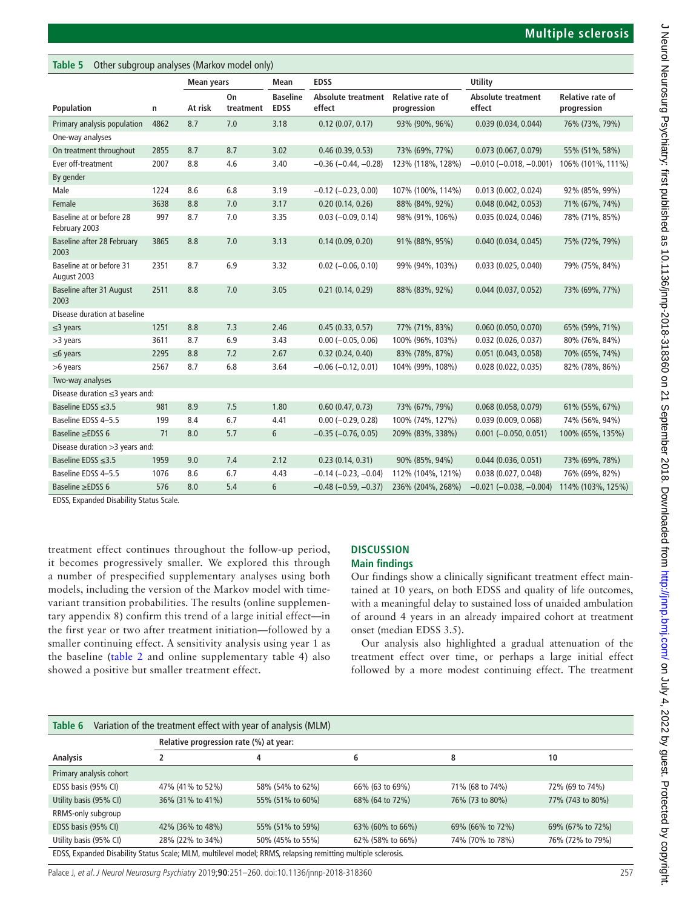| Other subgroup analyses (Markov model only)<br>Table 5 |      |                   |                 |                                |                                     |                                        |                                     |                                        |  |
|--------------------------------------------------------|------|-------------------|-----------------|--------------------------------|-------------------------------------|----------------------------------------|-------------------------------------|----------------------------------------|--|
|                                                        |      | <b>Mean years</b> |                 | <b>Mean</b>                    | <b>EDSS</b>                         |                                        | Utility                             |                                        |  |
| Population                                             | n    | At risk           | On<br>treatment | <b>Baseline</b><br><b>EDSS</b> | <b>Absolute treatment</b><br>effect | <b>Relative rate of</b><br>progression | <b>Absolute treatment</b><br>effect | <b>Relative rate of</b><br>progression |  |
| Primary analysis population                            | 4862 | 8.7               | 7.0             | 3.18                           | $0.12$ (0.07, 0.17)                 | 93% (90%, 96%)                         | 0.039(0.034, 0.044)                 | 76% (73%, 79%)                         |  |
| One-way analyses                                       |      |                   |                 |                                |                                     |                                        |                                     |                                        |  |
| On treatment throughout                                | 2855 | 8.7               | 8.7             | 3.02                           | 0.46(0.39, 0.53)                    | 73% (69%, 77%)                         | 0.073(0.067, 0.079)                 | 55% (51%, 58%)                         |  |
| Ever off-treatment                                     | 2007 | 8.8               | 4.6             | 3.40                           | $-0.36$ ( $-0.44$ , $-0.28$ )       | 123% (118%, 128%)                      | $-0.010$ ( $-0.018$ , $-0.001$ )    | 106% (101%, 111%)                      |  |
| By gender                                              |      |                   |                 |                                |                                     |                                        |                                     |                                        |  |
| Male                                                   | 1224 | 8.6               | 6.8             | 3.19                           | $-0.12$ ( $-0.23$ , 0.00)           | 107% (100%, 114%)                      | 0.013(0.002, 0.024)                 | 92% (85%, 99%)                         |  |
| Female                                                 | 3638 | 8.8               | 7.0             | 3.17                           | 0.20(0.14, 0.26)                    | 88% (84%, 92%)                         | 0.048(0.042, 0.053)                 | 71% (67%, 74%)                         |  |
| Baseline at or before 28<br>February 2003              | 997  | 8.7               | 7.0             | 3.35                           | $0.03 (-0.09, 0.14)$                | 98% (91%, 106%)                        | 0.035(0.024, 0.046)                 | 78% (71%, 85%)                         |  |
| Baseline after 28 February<br>2003                     | 3865 | 8.8               | 7.0             | 3.13                           | 0.14(0.09, 0.20)                    | 91% (88%, 95%)                         | 0.040(0.034, 0.045)                 | 75% (72%, 79%)                         |  |
| Baseline at or before 31<br>August 2003                | 2351 | 8.7               | 6.9             | 3.32                           | $0.02$ (-0.06, 0.10)                | 99% (94%, 103%)                        | 0.033(0.025, 0.040)                 | 79% (75%, 84%)                         |  |
| <b>Baseline after 31 August</b><br>2003                | 2511 | 8.8               | 7.0             | 3.05                           | 0.21(0.14, 0.29)                    | 88% (83%, 92%)                         | 0.044(0.037, 0.052)                 | 73% (69%, 77%)                         |  |
| Disease duration at baseline                           |      |                   |                 |                                |                                     |                                        |                                     |                                        |  |
| $\leq$ 3 years                                         | 1251 | 8.8               | 7.3             | 2.46                           | 0.45(0.33, 0.57)                    | 77% (71%, 83%)                         | 0.060(0.050, 0.070)                 | 65% (59%, 71%)                         |  |
| >3 years                                               | 3611 | 8.7               | 6.9             | 3.43                           | $0.00 (-0.05, 0.06)$                | 100% (96%, 103%)                       | $0.032$ (0.026, 0.037)              | 80% (76%, 84%)                         |  |
| $\leq$ 6 years                                         | 2295 | 8.8               | 7.2             | 2.67                           | 0.32(0.24, 0.40)                    | 83% (78%, 87%)                         | 0.051(0.043, 0.058)                 | 70% (65%, 74%)                         |  |
| >6 years                                               | 2567 | 8.7               | 6.8             | 3.64                           | $-0.06$ ( $-0.12$ , 0.01)           | 104% (99%, 108%)                       | 0.028(0.022, 0.035)                 | 82% (78%, 86%)                         |  |
| Two-way analyses                                       |      |                   |                 |                                |                                     |                                        |                                     |                                        |  |
| Disease duration $\leq$ 3 years and:                   |      |                   |                 |                                |                                     |                                        |                                     |                                        |  |
| Baseline EDSS $\leq$ 3.5                               | 981  | 8.9               | 7.5             | 1.80                           | 0.60(0.47, 0.73)                    | 73% (67%, 79%)                         | 0.068(0.058, 0.079)                 | 61% (55%, 67%)                         |  |
| Baseline EDSS 4-5.5                                    | 199  | 8.4               | 6.7             | 4.41                           | $0.00 (-0.29, 0.28)$                | 100% (74%, 127%)                       | 0.039(0.009, 0.068)                 | 74% (56%, 94%)                         |  |
| Baseline $\ge$ EDSS 6                                  | 71   | 8.0               | 5.7             | 6                              | $-0.35$ $(-0.76, 0.05)$             | 209% (83%, 338%)                       | $0.001 (-0.050, 0.051)$             | 100% (65%, 135%)                       |  |
| Disease duration > 3 years and:                        |      |                   |                 |                                |                                     |                                        |                                     |                                        |  |
| Baseline EDSS $\leq$ 3.5                               | 1959 | 9.0               | 7.4             | 2.12                           | 0.23(0.14, 0.31)                    | 90% (85%, 94%)                         | 0.044(0.036, 0.051)                 | 73% (69%, 78%)                         |  |
| Baseline EDSS 4-5.5                                    | 1076 | 8.6               | 6.7             | 4.43                           | $-0.14$ ( $-0.23$ , $-0.04$ )       | 112% (104%, 121%)                      | 0.038(0.027, 0.048)                 | 76% (69%, 82%)                         |  |
| Baseline ≥EDSS 6                                       | 576  | 8.0               | 5.4             | 6                              | $-0.48$ ( $-0.59$ , $-0.37$ )       | 236% (204%, 268%)                      | $-0.021$ ( $-0.038$ , $-0.004$ )    | 114% (103%, 125%)                      |  |

EDSS, Expanded Disability Status Scale.

treatment effect continues throughout the follow-up period, it becomes progressively smaller. We explored this through a number of prespecified supplementary analyses using both models, including the version of the Markov model with timevariant transition probabilities. The results ([online supplemen](https://dx.doi.org/10.1136/jnnp-2018-318360)[tary appendix 8\)](https://dx.doi.org/10.1136/jnnp-2018-318360) confirm this trend of a large initial effect—in the first year or two after treatment initiation—followed by a smaller continuing effect. A sensitivity analysis using year 1 as the baseline ([table](#page-4-0) 2 and [online supplementary table 4](https://dx.doi.org/10.1136/jnnp-2018-318360)) also showed a positive but smaller treatment effect.

# **Discussion**

**Main findings**

Our findings show a clinically significant treatment effect maintained at 10 years, on both EDSS and quality of life outcomes, with a meaningful delay to sustained loss of unaided ambulation of around 4 years in an already impaired cohort at treatment onset (median EDSS 3.5).

Our analysis also highlighted a gradual attenuation of the treatment effect over time, or perhaps a large initial effect followed by a more modest continuing effect. The treatment

<span id="page-6-0"></span>

| Table 6                                                                                                      | Variation of the treatment effect with year of analysis (MLM) |                  |                  |                  |                  |
|--------------------------------------------------------------------------------------------------------------|---------------------------------------------------------------|------------------|------------------|------------------|------------------|
|                                                                                                              | Relative progression rate (%) at year:                        |                  |                  |                  |                  |
| Analysis                                                                                                     |                                                               | 4                | 6                | 8                | 10               |
| Primary analysis cohort                                                                                      |                                                               |                  |                  |                  |                  |
| EDSS basis (95% CI)                                                                                          | 47% (41% to 52%)                                              | 58% (54% to 62%) | 66% (63 to 69%)  | 71% (68 to 74%)  | 72% (69 to 74%)  |
| Utility basis (95% CI)                                                                                       | 36% (31% to 41%)                                              | 55% (51% to 60%) | 68% (64 to 72%)  | 76% (73 to 80%)  | 77% (743 to 80%) |
| RRMS-only subgroup                                                                                           |                                                               |                  |                  |                  |                  |
| EDSS basis (95% CI)                                                                                          | 42% (36% to 48%)                                              | 55% (51% to 59%) | 63% (60% to 66%) | 69% (66% to 72%) | 69% (67% to 72%) |
| Utility basis (95% CI)                                                                                       | 28% (22% to 34%)                                              | 50% (45% to 55%) | 62% (58% to 66%) | 74% (70% to 78%) | 76% (72% to 79%) |
| EDSS, Expanded Disability Status Scale; MLM, multilevel model; RRMS, relapsing remitting multiple sclerosis. |                                                               |                  |                  |                  |                  |

Palace J, et al. J Neurol Neurosurg Psychiatry 2019;**90**:251–260. doi:10.1136/jnnp-2018-318360 257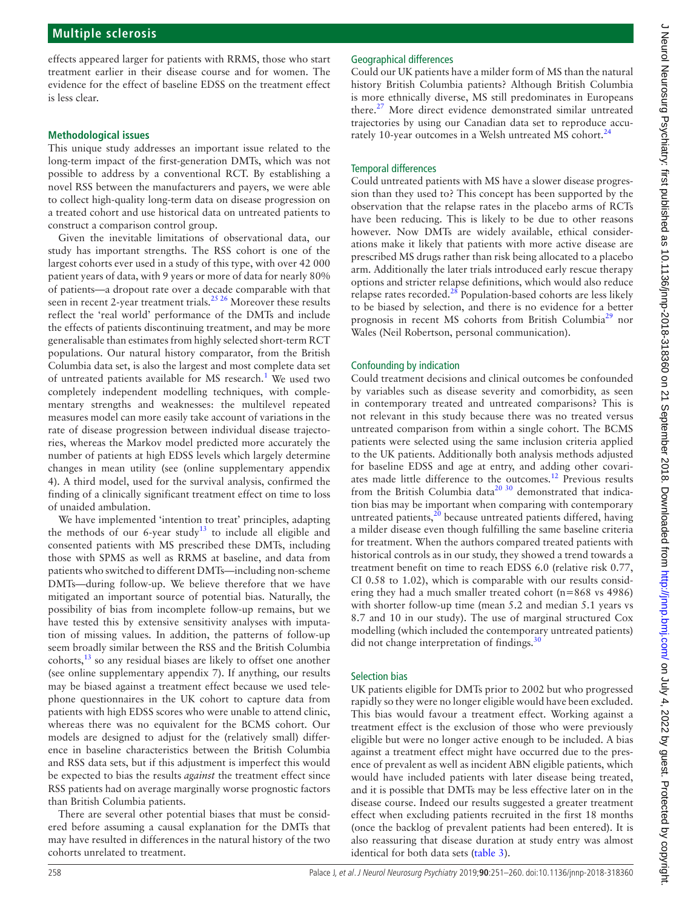effects appeared larger for patients with RRMS, those who start treatment earlier in their disease course and for women. The evidence for the effect of baseline EDSS on the treatment effect is less clear.

#### **Methodological issues**

This unique study addresses an important issue related to the long-term impact of the first-generation DMTs, which was not possible to address by a conventional RCT. By establishing a novel RSS between the manufacturers and payers, we were able to collect high-quality long-term data on disease progression on a treated cohort and use historical data on untreated patients to construct a comparison control group.

Given the inevitable limitations of observational data, our study has important strengths. The RSS cohort is one of the largest cohorts ever used in a study of this type, with over 42 000 patient years of data, with 9 years or more of data for nearly 80% of patients—a dropout rate over a decade comparable with that seen in recent 2-year treatment trials.<sup>25,26</sup> Moreover these results reflect the 'real world' performance of the DMTs and include the effects of patients discontinuing treatment, and may be more generalisable than estimates from highly selected short-term RCT populations. Our natural history comparator, from the British Columbia data set, is also the largest and most complete data set of untreated patients available for MS research.<sup>[1](#page-9-0)</sup> We used two completely independent modelling techniques, with complementary strengths and weaknesses: the multilevel repeated measures model can more easily take account of variations in the rate of disease progression between individual disease trajectories, whereas the Markov model predicted more accurately the number of patients at high EDSS levels which largely determine changes in mean utility (see [\(online supplementary appendix](https://dx.doi.org/10.1136/jnnp-2018-318360)  [4](https://dx.doi.org/10.1136/jnnp-2018-318360)). A third model, used for the survival analysis, confirmed the finding of a clinically significant treatment effect on time to loss of unaided ambulation.

We have implemented 'intention to treat' principles, adapting the methods of our 6-year study<sup>13</sup> to include all eligible and consented patients with MS prescribed these DMTs, including those with SPMS as well as RRMS at baseline, and data from patients who switched to different DMTs—including non-scheme DMTs—during follow-up. We believe therefore that we have mitigated an important source of potential bias. Naturally, the possibility of bias from incomplete follow-up remains, but we have tested this by extensive sensitivity analyses with imputation of missing values. In addition, the patterns of follow-up seem broadly similar between the RSS and the British Columbia cohorts, $^{13}$  so any residual biases are likely to offset one another (see [online supplementary appendix 7\)](https://dx.doi.org/10.1136/jnnp-2018-318360). If anything, our results may be biased against a treatment effect because we used telephone questionnaires in the UK cohort to capture data from patients with high EDSS scores who were unable to attend clinic, whereas there was no equivalent for the BCMS cohort. Our models are designed to adjust for the (relatively small) difference in baseline characteristics between the British Columbia and RSS data sets, but if this adjustment is imperfect this would be expected to bias the results *against* the treatment effect since RSS patients had on average marginally worse prognostic factors than British Columbia patients.

There are several other potential biases that must be considered before assuming a causal explanation for the DMTs that may have resulted in differences in the natural history of the two cohorts unrelated to treatment.

# Geographical differences

Could our UK patients have a milder form of MS than the natural history British Columbia patients? Although British Columbia is more ethnically diverse, MS still predominates in Europeans there.[27](#page-9-18) More direct evidence demonstrated similar untreated trajectories by using our Canadian data set to reproduce accurately 10-year outcomes in a Welsh untreated MS cohort.<sup>24</sup>

### Temporal differences

Could untreated patients with MS have a slower disease progression than they used to? This concept has been supported by the observation that the relapse rates in the placebo arms of RCTs have been reducing. This is likely to be due to other reasons however. Now DMTs are widely available, ethical considerations make it likely that patients with more active disease are prescribed MS drugs rather than risk being allocated to a placebo arm. Additionally the later trials introduced early rescue therapy options and stricter relapse definitions, which would also reduce relapse rates recorded. $^{28}$  $^{28}$  $^{28}$  Population-based cohorts are less likely to be biased by selection, and there is no evidence for a better prognosis in recent MS cohorts from British Columbia<sup>29</sup> nor Wales (Neil Robertson, personal communication).

# Confounding by indication

Could treatment decisions and clinical outcomes be confounded by variables such as disease severity and comorbidity, as seen in contemporary treated and untreated comparisons? This is not relevant in this study because there was no treated versus untreated comparison from within a single cohort. The BCMS patients were selected using the same inclusion criteria applied to the UK patients. Additionally both analysis methods adjusted for baseline EDSS and age at entry, and adding other covariates made little difference to the outcomes.<sup>12</sup> Previous results from the British Columbia data<sup>20 30</sup> demonstrated that indication bias may be important when comparing with contemporary untreated patients, $2<sup>0</sup>$  because untreated patients differed, having a milder disease even though fulfilling the same baseline criteria for treatment. When the authors compared treated patients with historical controls as in our study, they showed a trend towards a treatment benefit on time to reach EDSS 6.0 (relative risk 0.77, CI 0.58 to 1.02), which is comparable with our results considering they had a much smaller treated cohort (n=868 vs 4986) with shorter follow-up time (mean 5.2 and median 5.1 years vs 8.7 and 10 in our study). The use of marginal structured Cox modelling (which included the contemporary untreated patients) did not change interpretation of findings.<sup>3</sup>

# Selection bias

UK patients eligible for DMTs prior to 2002 but who progressed rapidly so they were no longer eligible would have been excluded. This bias would favour a treatment effect. Working against a treatment effect is the exclusion of those who were previously eligible but were no longer active enough to be included. A bias against a treatment effect might have occurred due to the presence of prevalent as well as incident ABN eligible patients, which would have included patients with later disease being treated, and it is possible that DMTs may be less effective later on in the disease course. Indeed our results suggested a greater treatment effect when excluding patients recruited in the first 18 months (once the backlog of prevalent patients had been entered). It is also reassuring that disease duration at study entry was almost identical for both data sets [\(table](#page-4-1) 3).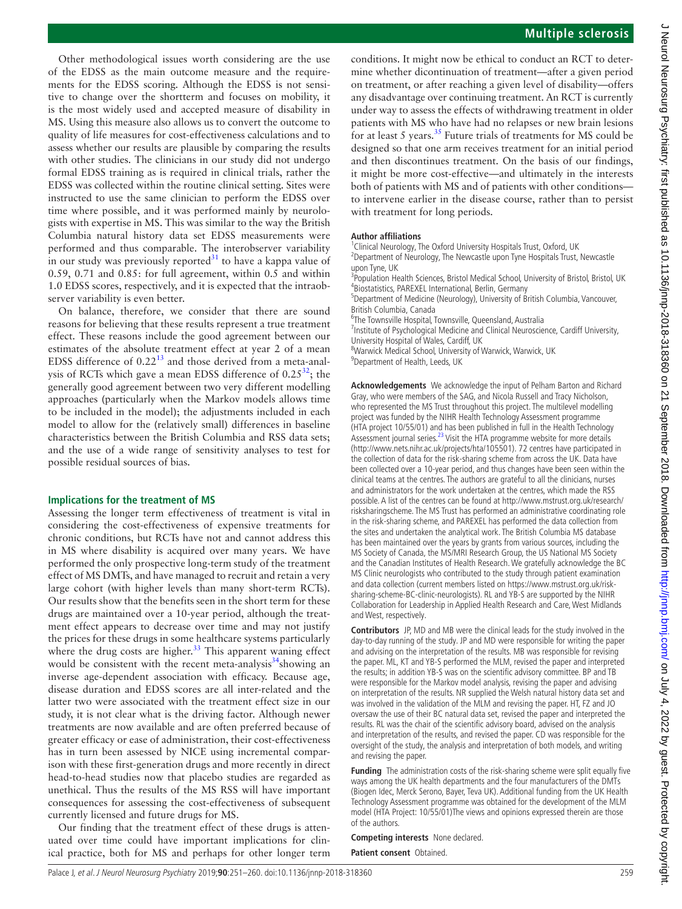Other methodological issues worth considering are the use of the EDSS as the main outcome measure and the requirements for the EDSS scoring. Although the EDSS is not sensitive to change over the shortterm and focuses on mobility, it is the most widely used and accepted measure of disability in MS. Using this measure also allows us to convert the outcome to quality of life measures for cost-effectiveness calculations and to assess whether our results are plausible by comparing the results with other studies. The clinicians in our study did not undergo formal EDSS training as is required in clinical trials, rather the EDSS was collected within the routine clinical setting. Sites were instructed to use the same clinician to perform the EDSS over time where possible, and it was performed mainly by neurologists with expertise in MS. This was similar to the way the British Columbia natural history data set EDSS measurements were performed and thus comparable. The interobserver variability in our study was previously reported<sup>[31](#page-9-23)</sup> to have a kappa value of 0.59, 0.71 and 0.85: for full agreement, within 0.5 and within 1.0 EDSS scores, respectively, and it is expected that the intraobserver variability is even better.

On balance, therefore, we consider that there are sound reasons for believing that these results represent a true treatment effect. These reasons include the good agreement between our estimates of the absolute treatment effect at year 2 of a mean EDSS difference of 0.22[13](#page-9-9) and those derived from a meta-analysis of RCTs which gave a mean EDSS difference of  $0.25^{32}$ ; the generally good agreement between two very different modelling approaches (particularly when the Markov models allows time to be included in the model); the adjustments included in each model to allow for the (relatively small) differences in baseline characteristics between the British Columbia and RSS data sets; and the use of a wide range of sensitivity analyses to test for possible residual sources of bias.

#### **Implications for the treatment of MS**

Assessing the longer term effectiveness of treatment is vital in considering the cost-effectiveness of expensive treatments for chronic conditions, but RCTs have not and cannot address this in MS where disability is acquired over many years. We have performed the only prospective long-term study of the treatment effect of MS DMTs, and have managed to recruit and retain a very large cohort (with higher levels than many short-term RCTs). Our results show that the benefits seen in the short term for these drugs are maintained over a 10-year period, although the treatment effect appears to decrease over time and may not justify the prices for these drugs in some healthcare systems particularly where the drug costs are higher. $33$  This apparent waning effect would be consistent with the recent meta-analysis<sup>34</sup>showing an inverse age-dependent association with efficacy. Because age, disease duration and EDSS scores are all inter-related and the latter two were associated with the treatment effect size in our study, it is not clear what is the driving factor. Although newer treatments are now available and are often preferred because of greater efficacy or ease of administration, their cost-effectiveness has in turn been assessed by NICE using incremental comparison with these first-generation drugs and more recently in direct head-to-head studies now that placebo studies are regarded as unethical. Thus the results of the MS RSS will have important consequences for assessing the cost-effectiveness of subsequent currently licensed and future drugs for MS.

Our finding that the treatment effect of these drugs is attenuated over time could have important implications for clinical practice, both for MS and perhaps for other longer term

conditions. It might now be ethical to conduct an RCT to determine whether dicontinuation of treatment—after a given period on treatment, or after reaching a given level of disability—offers any disadvantage over continuing treatment. An RCT is currently under way to assess the effects of withdrawing treatment in older patients with MS who have had no relapses or new brain lesions for at least 5 years. $35$  Future trials of treatments for MS could be designed so that one arm receives treatment for an initial period and then discontinues treatment. On the basis of our findings, it might be more cost-effective—and ultimately in the interests both of patients with MS and of patients with other conditions to intervene earlier in the disease course, rather than to persist with treatment for long periods.

#### **Author affiliations**

- <sup>1</sup> Clinical Neurology, The Oxford University Hospitals Trust, Oxford, UK<br><sup>2</sup> Department of Neurology, The Newsastle upon Type Hospitals Trust <sup>2</sup>Department of Neurology, The Newcastle upon Tyne Hospitals Trust, Newcastle upon Tyne, UK <sup>3</sup> Population Health Sciences, Bristol Medical School, University of Bristol, Bristol, UK <sup>4</sup>Biostatistics, PAREXEL International, Berlin, Germany
- <sup>5</sup>Department of Medicine (Neurology), University of British Columbia, Vancouver,
- British Columbia, Canada <sup>6</sup>
- <sup>6</sup>The Townsville Hospital, Townsville, Queensland, Australia
- <sup>7</sup> Institute of Psychological Medicine and Clinical Neuroscience, Cardiff University, University Hospital of Wales, Cardiff, UK <sup>8</sup>
- Warwick Medical School, University of Warwick, Warwick, UK <sup>9</sup> <sup>9</sup>Department of Health, Leeds, UK

**Acknowledgements** We acknowledge the input of Pelham Barton and Richard Gray, who were members of the SAG, and Nicola Russell and Tracy Nicholson, who represented the MS Trust throughout this project. The multilevel modelling project was funded by the NIHR Health Technology Assessment programme (HTA project 10/55/01) and has been published in full in the Health Technology Assessment journal series.<sup>23</sup> Visit the HTA programme website for more details (<http://www.nets.nihr.ac.uk/projects/hta/105501>). 72 centres have participated in the collection of data for the risk-sharing scheme from across the UK. Data have been collected over a 10-year period, and thus changes have been seen within the clinical teams at the centres. The authors are grateful to all the clinicians, nurses and administrators for the work undertaken at the centres, which made the RSS possible. A list of the centres can be found at [http://www.mstrust.org.uk/research/](http://www.mstrust.org.uk/research/risksharingscheme) [risksharingscheme.](http://www.mstrust.org.uk/research/risksharingscheme) The MS Trust has performed an administrative coordinating role in the risk-sharing scheme, and PAREXEL has performed the data collection from the sites and undertaken the analytical work. The British Columbia MS database has been maintained over the years by grants from various sources, including the MS Society of Canada, the MS/MRI Research Group, the US National MS Society and the Canadian Institutes of Health Research. We gratefully acknowledge the BC MS Clinic neurologists who contributed to the study through patient examination and data collection (current members listed on [https://www.mstrust.org.uk/risk](https://www.mstrust.org.uk/risk-sharing-scheme)[sharing-scheme](https://www.mstrust.org.uk/risk-sharing-scheme)<-BC-clinic-neurologists>). RL and YB-S are supported by the NIHR Collaboration for Leadership in Applied Health Research and Care, West Midlands and West, respectively.

**Contributors** JP, MD and MB were the clinical leads for the study involved in the day-to-day running of the study. JP and MD were responsible for writing the paper and advising on the interpretation of the results. MB was responsible for revising the paper. ML, KT and YB-S performed the MLM, revised the paper and interpreted the results; in addition YB-S was on the scientific advisory committee. BP and TB were responsible for the Markov model analysis, revising the paper and advising on interpretation of the results. NR supplied the Welsh natural history data set and was involved in the validation of the MLM and revising the paper. HT, FZ and JO oversaw the use of their BC natural data set, revised the paper and interpreted the results. RL was the chair of the scientific advisory board, advised on the analysis and interpretation of the results, and revised the paper. CD was responsible for the oversight of the study, the analysis and interpretation of both models, and writing and revising the paper.

**Funding** The administration costs of the risk-sharing scheme were split equally five ways among the UK health departments and the four manufacturers of the DMTs (Biogen Idec, Merck Serono, Bayer, Teva UK). Additional funding from the UK Health Technology Assessment programme was obtained for the development of the MLM model (HTA Project: 10/55/01)The views and opinions expressed therein are those of the authors.

**Competing interests** None declared. **Patient consent** Obtained.